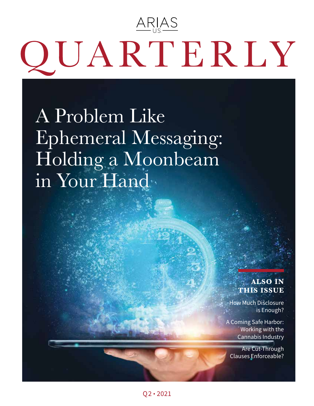# <u>ARIAS</u> QUARTERLY

A Problem Like Ephemeral Messaging: Holding a Moonbeam in Your Hand

### **ALSO IN THIS ISSUE**

How Much Disclosure is Enough?

A Coming Safe Harbor: Working with the Cannabis Industry

Are Cut-Through Clauses Enforceable?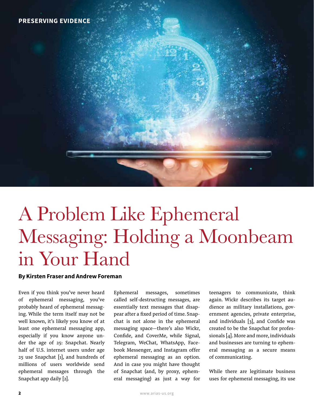## A Problem Like Ephemeral Messaging: Holding a Moonbeam in Your Hand

#### By Kirsten Fraser and Andrew Foreman

Even if you think you've never heard of ephemeral messaging, you've probably heard of ephemeral messaging. While the term itself may not be well known, it's likely you know of at least one ephemeral messaging app, especially if you know anyone under the age of 25: Snapchat. Nearly half of U.S. internet users under age 25 use Snapchat [1], and hundreds of millions of users worldwide send ephemeral messages through the Snapchat app daily [2].

Ephemeral messages, sometimes called self-destructing messages, are essentially text messages that disappear after a fixed period of time. Snapchat is not alone in the ephemeral messaging space—there's also Wickr, Confide, and CoverMe, while Signal, Telegram, WeChat, WhatsApp, Facebook Messenger, and Instagram offer ephemeral messaging as an option. And in case you might have thought of Snapchat (and, by proxy, ephemeral messaging) as just a way for

teenagers to communicate, think again. Wickr describes its target audience as military installations, government agencies, private enterprise, and individuals [3], and Confide was created to be the Snapchat for professionals [4]. More and more, individuals and businesses are turning to ephemeral messaging as a secure means of communicating.

While there are legitimate business uses for ephemeral messaging, its use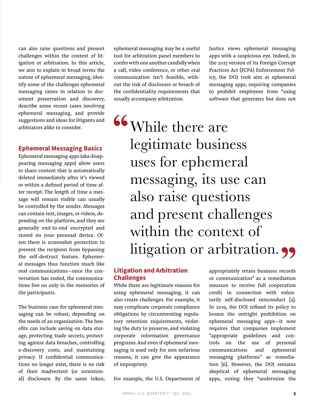can also raise questions and present challenges within the context of litigation or arbitration. In this article, we aim to explain in broad terms the nature of ephemeral messaging, identify some of the challenges ephemeral messaging raises in relation to document preservation and discovery, describe some recent cases involving ephemeral messaging, and provide suggestions and ideas for litigants and arbitrators alike to consider.

#### Ephemeral Messaging Basics

Ephemeral messaging apps (aka disappearing messaging apps) allow users to share content that is automatically deleted immediately after it's viewed or within a defined period of time after receipt. The length of time a message will remain visible can usually be controlled by the sender. Messages can contain text, images, or videos, depending on the platform, and they are generally end-to-end encrypted and stored on your personal device. Often there is screenshot protection to prevent the recipient from bypassing the self-destruct feature. Ephemeral messages thus function much like oral communications—once the conversation has ended, the communications live on only in the memories of the participants.

The business case for ephemeral messaging can be robust, depending on the needs of an organization. The benefits can include saving on data storage, protecting trade secrets, protecting against data breaches, controlling e-discovery costs, and maintaining privacy. If confidential communications no longer exist, there is no risk of their inadvertent (or intentional) disclosure. By the same token, ephemeral messaging may be a useful tool for arbitration panel members to confer with one another candidly when a call, video conference, or other oral communication isn't feasible, without the risk of disclosure or breach of the confidentiality requirements that usually accompany arbitration.

Justice views ephemeral messaging apps with a suspicious eye. Indeed, in the 2017 version of its Foreign Corrupt Practices Act (FCPA) Enforcement Policy, the DOJ took aim at ephemeral messaging apps, requiring companies to prohibit employees from "using software that generates but does not

While there are legitimate business uses for ephemeral messaging, its use can also raise questions and present challenges within the context of litigation or arbitration.

#### Litigation and Arbitration Challenges

While there are legitimate reasons for using ephemeral messaging, it can also create challenges. For example, it may complicate corporate compliance obligations by circumventing regulatory retention requirements, violating the duty to preserve, and violating corporate information governance programs. And even if ephemeral messaging is used only for non-nefarious reasons, it can give the appearance of impropriety.

For example, the U.S. Department of

appropriately retain business records or communication" as a remediation measure to receive full cooperation credit in connection with voluntarily self-disclosed misconduct [5]. In 2019, the DOJ refined its policy to loosen the outright prohibition on ephemeral messaging apps—it now requires that companies implement "appropriate guidelines and controls on the use of personal communications and ephemeral messaging platforms" as remediation [6]. However, the DOJ remains skeptical of ephemeral messaging apps, noting they "undermine the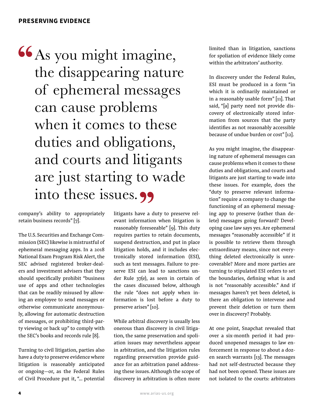As you might imagine, the disappearing nature of ephemeral messages can cause problems when it comes to these duties and obligations, and courts and litigants are just starting to wade into these issues. 99

company's ability to appropriately retain business records" [7].

The U.S. Securities and Exchange Commission (SEC) likewise is mistrustful of ephemeral messaging apps. In a 2018 National Exam Program Risk Alert, the SEC advised registered broker-dealers and investment advisers that they should specifically prohibit "business use of apps and other technologies that can be readily misused by allowing an employee to send messages or otherwise communicate anonymously, allowing for automatic destruction of messages, or prohibiting third-party viewing or back up" to comply with the SEC's books and records rule [8].

Turning to civil litigation, parties also have a duty to preserve evidence where litigation is reasonably anticipated or ongoing—or, as the Federal Rules of Civil Procedure put it, "… potential litigants have a duty to preserve relevant information when litigation is reasonably foreseeable" [9]. This duty requires parties to retain documents, suspend destruction, and put in place litigation holds, and it includes electronically stored information (ESI), such as text messages. Failure to preserve ESI can lead to sanctions under Rule 37(e), as seen in certain of the cases discussed below, although the rule "does not apply when information is lost before a duty to preserve arises" [10].

While arbitral discovery is usually less onerous than discovery in civil litigation, the same preservation and spoliation issues may nevertheless appear in arbitration, and the litigation rules regarding preservation provide guidance for an arbitration panel addressing these issues. Although the scope of discovery in arbitration is often more

limited than in litigation, sanctions for spoliation of evidence likely come within the arbitrators' authority.

In discovery under the Federal Rules, ESI must be produced in a form "in which it is ordinarily maintained or in a reasonably usable form" [11]. That said, "[a] party need not provide discovery of electronically stored information from sources that the party identifies as not reasonably accessible because of undue burden or cost" [12].

As you might imagine, the disappearing nature of ephemeral messages can cause problems when it comes to these duties and obligations, and courts and litigants are just starting to wade into these issues. For example, does the "duty to preserve relevant information" require a company to change the functioning of an ephemeral messaging app to preserve (rather than delete) messages going forward? Developing case law says yes. Are ephemeral messages "reasonably accessible" if it is possible to retrieve them through extraordinary means, since not everything deleted electronically is unrecoverable? More and more parties are turning to stipulated ESI orders to set the boundaries, defining what is and is not "reasonably accessible." And if messages haven't yet been deleted, is there an obligation to intervene and prevent their deletion or turn them over in discovery? Probably.

At one point, Snapchat revealed that over a six-month period it had produced unopened messages to law enforcement in response to about a dozen search warrants [13]. The messages had not self-destructed because they had not been opened. These issues are not isolated to the courts: arbitrators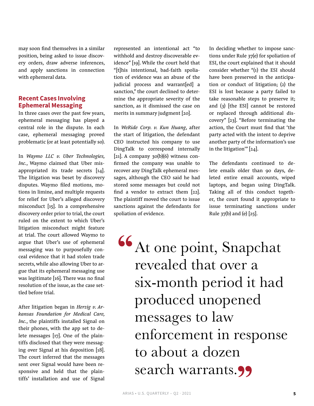may soon find themselves in a similar position, being asked to issue discovery orders, draw adverse inferences, and apply sanctions in connection with ephemeral data.

#### Recent Cases Involving Ephemeral Messaging

In three cases over the past few years, ephemeral messaging has played a central role in the dispute. In each case, ephemeral messaging proved problematic (or at least potentially so).

In *Waymo LLC v. Uber Technologies, Inc.*, Waymo claimed that Uber misappropriated its trade secrets [14]. The litigation was beset by discovery disputes. Waymo filed motions, motions in limine, and multiple requests for relief for Uber's alleged discovery misconduct [15]. In a comprehensive discovery order prior to trial, the court ruled on the extent to which Uber's litigation misconduct might feature at trial. The court allowed Waymo to argue that Uber's use of ephemeral messaging was to purposefully conceal evidence that it had stolen trade secrets, while also allowing Uber to argue that its ephemeral messaging use was legitimate [16]. There was no final resolution of the issue, as the case settled before trial.

After litigation began in *Herzig v. Arkansas Foundation for Medical Care, Inc.*, the plaintiffs installed Signal on their phones, with the app set to delete messages [17]. One of the plaintiffs disclosed that they were messaging over Signal at his deposition [18]. The court inferred that the messages sent over Signal would have been responsive and held that the plaintiffs' installation and use of Signal

represented an intentional act "to withhold and destroy discoverable evidence" [19]. While the court held that "[t]his intentional, bad-faith spoliation of evidence was an abuse of the judicial process and warrant[ed] a sanction," the court declined to determine the appropriate severity of the sanction, as it dismissed the case on merits in summary judgment [20].

In *WeRide Corp. v. Kun Huang*, after the start of litigation, the defendant CEO instructed his company to use DingTalk to correspond internally [21]. A company  $30(b)(6)$  witness confirmed the company was unable to recover any DingTalk ephemeral messages, although the CEO said he had stored some messages but could not find a vendor to extract them [22]. The plaintiff moved the court to issue sanctions against the defendants for spoliation of evidence.

In deciding whether to impose sanctions under Rule 37(e) for spoliation of ESI, the court explained that it should consider whether "(1) the ESI should have been preserved in the anticipation or conduct of litigation; (2) the ESI is lost because a party failed to take reasonable steps to preserve it; and (3) [the ESI] cannot be restored or replaced through additional discovery" [23]. "Before terminating the action, the Court must find that 'the party acted with the intent to deprive another party of the information's use in the litigation'" [24].

The defendants continued to delete emails older than 90 days, deleted entire email accounts, wiped laptops, and began using DingTalk. Taking all of this conduct together, the court found it appropriate to issue terminating sanctions under Rule  $37(b)$  and (e)  $[25]$ .

At one point, Snapchat revealed that over a six-month period it had produced unopened messages to law enforcement in response to about a dozen search warrants.<sup>99</sup>